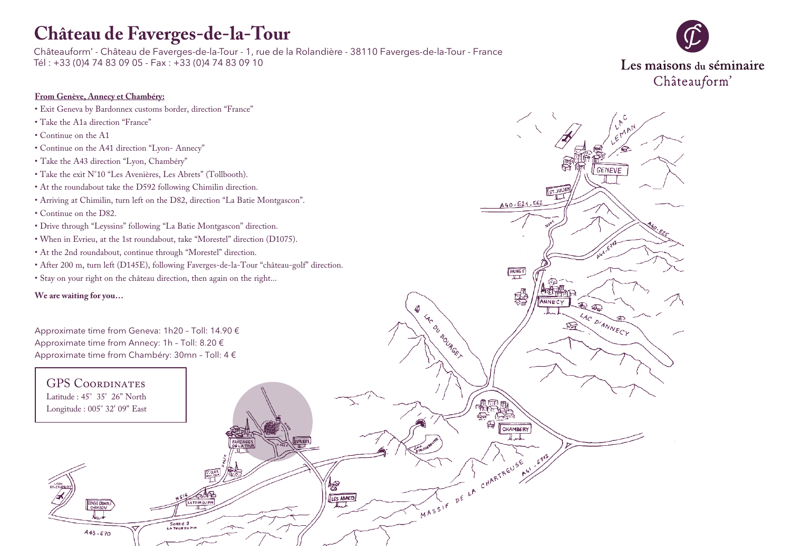# **Château de Faverges-de-la-Tour**

Châteauform' - Château de Faverges-de-la-Tour - 1, rue de la Rolandière - 38110 Faverges-de-la-Tour - France Tél : +33 (0)4 74 83 09 05 - Fax : +33 (0)4 74 83 09 10



GENEVE

**ST.JULIE** 

ANNECY

LAC DIANNECY

A40-E21-E62

**PRINGY** 

霑

CHAMBERY Auto

15E 41' E 317

MASSIF DE LA CHARTREUSE NI

I He DU BOURGET

惨 LES ABRETS

I. T

#### **From Genève, Annecy et Chambéry:**

- Exit Geneva by Bardonnex customs border, direction "France"
- Take the A1a direction "France"
- Continue on the A1
- Continue on the A41 direction "Lyon- Annecy"
- Take the A43 direction "Lyon, Chambéry"
- Take the exit N°10 "Les Avenières, Les Abrets" (Tollbooth).
- At the roundabout take the D592 following Chimilin direction.
- Arriving at Chimilin, turn left on the D82, direction "La Batie Montgascon".
- Continue on the D82.
- Drive through "Leyssins" following "La Batie Montgascon" direction.
- When in Evrieu, at the 1st roundabout, take "Morestel" direction (D1075).
- At the 2nd roundabout, continue through "Morestel" direction.
- After 200 m, turn left (D145E), following Faverges-de-la-Tour "château-golf" direction.

SORTIE 9

• Stay on your right on the château direction, then again on the right...

**We are waiting for you…**

Approximate time from Geneva: 1h20 – Toll: 14.90 € Approximate time from Annecy: 1h – Toll: 8.20 € Approximate time from Chambéry: 30mn – Toll: 4 €

### GPS Coordinates Latitude : 45° 35' 26" North

Longitude : 005° 32' 09" East

**GENEVE GRENC**<br>CHAMBERY

 $A43 - E70$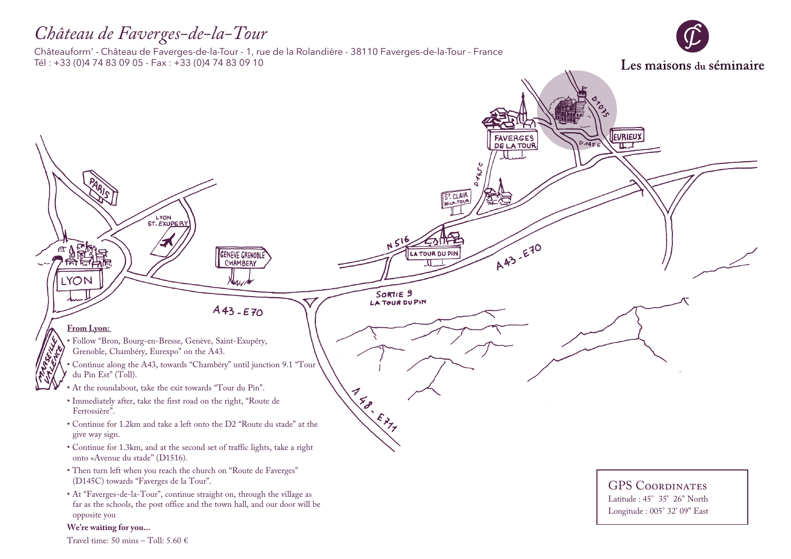### *Château de Faverges-de-la-Tour*

Châteauform' - Château de Faverges-de-la-Tour - 1, rue de la Rolandière - 38110 Faverges-de-la-Tour - France Tél : +33 (0)4 74 83 09 05 - Fax : +33 (0)4 74 83 09 10

Les maisons du séminaire EVRIEUX FAVERGES<br>DE LA TOUR  $\overline{\mathbf{u}}$ . ST. CLAIR LYON ST-EXUPER)  $A43 - E70$ £. LA TOUR DU PIN **GENEVE GRENOBLE** CHAMBERY LYON Negym SORTIE<sub>9</sub> LA TOUR DU PIN  $A43 - E70$ **From Lyon:**  • Follow "Bron, Bourg-en-Bresse, Genève, Saint-Exupéry, Grenoble, Chambéry, Eurexpo" on the A43. • Continue along the A43, towards "Chambéry" until junction 9.1 "Tour du Pin Est" (Toll).  $\sqrt{\frac{1}{2}}$ • At the roundabout, take the exit towards "Tour du Pin". • Immediately after, take the first road on the right, "Route de Ferrossière". Extra • Continue for 1.2km and take a left onto the D2 "Route du stade" at the give way sign. • Continue for 1.3km, and at the second set of traffic lights, take a right onto «Avenue du stade" (D1516). • Then turn left when you reach the church on "Route de Faverges" (D145C) towards "Faverges de la Tour". GPS COORDINATES • At "Faverges-de-la-Tour", continue straight on, through the village as Latitude : 45° 35' 26" North far as the schools, the post office and the town hall, and our door will be Longitude : 005° 32' 09" Eastopposite you **We're waiting for you...** 

Travel time: 50 mins – Toll: 5.60  $\in$